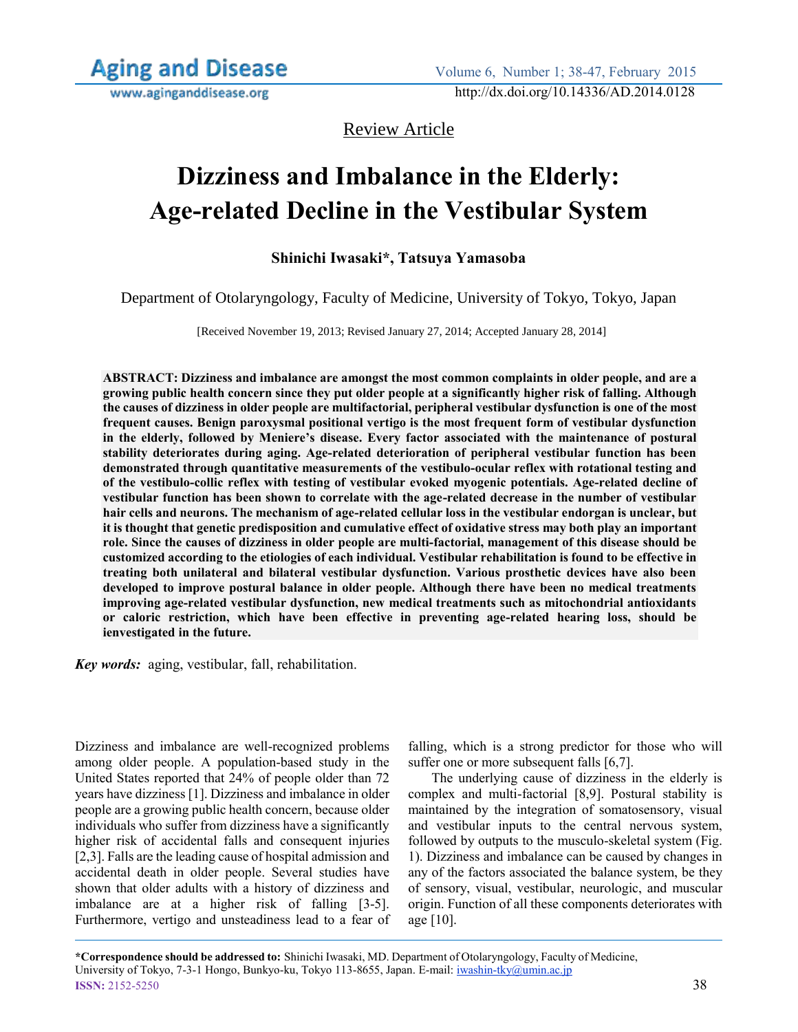**Aging and Disease** 

Review Article

# **Dizziness and Imbalance in the Elderly: Age-related Decline in the Vestibular System**

# **Shinichi Iwasaki\*, Tatsuya Yamasoba**

Department of Otolaryngology, Faculty of Medicine, University of Tokyo, Tokyo, Japan

[Received November 19, 2013; Revised January 27, 2014; Accepted January 28, 2014]

**ABSTRACT: Dizziness and imbalance are amongst the most common complaints in older people, and are a growing public health concern since they put older people at a significantly higher risk of falling. Although the causes of dizziness in older people are multifactorial, peripheral vestibular dysfunction is one of the most frequent causes. Benign paroxysmal positional vertigo is the most frequent form of vestibular dysfunction in the elderly, followed by Meniere's disease. Every factor associated with the maintenance of postural stability deteriorates during aging. Age-related deterioration of peripheral vestibular function has been demonstrated through quantitative measurements of the vestibulo-ocular reflex with rotational testing and of the vestibulo-collic reflex with testing of vestibular evoked myogenic potentials. Age-related decline of vestibular function has been shown to correlate with the age-related decrease in the number of vestibular hair cells and neurons. The mechanism of age-related cellular loss in the vestibular endorgan is unclear, but it is thought that genetic predisposition and cumulative effect of oxidative stress may both play an important role. Since the causes of dizziness in older people are multi-factorial, management of this disease should be customized according to the etiologies of each individual. Vestibular rehabilitation is found to be effective in treating both unilateral and bilateral vestibular dysfunction. Various prosthetic devices have also been developed to improve postural balance in older people. Although there have been no medical treatments improving age-related vestibular dysfunction, new medical treatments such as mitochondrial antioxidants or caloric restriction, which have been effective in preventing age-related hearing loss, should be ienvestigated in the future.**

*Key words:* aging, vestibular, fall, rehabilitation.

Dizziness and imbalance are well-recognized problems among older people. A population-based study in the United States reported that 24% of people older than 72 years have dizziness [\[1\]](#page-5-0). Dizziness and imbalance in older people are a growing public health concern, because older individuals who suffer from dizziness have a significantly higher risk of accidental falls and consequent injuries [\[2,](#page-5-1)[3\]](#page-5-2). Falls are the leading cause of hospital admission and accidental death in older people. Several studies have shown that older adults with a history of dizziness and imbalance are at a higher risk of falling [\[3-5\]](#page-5-2). Furthermore, vertigo and unsteadiness lead to a fear of

falling, which is a strong predictor for those who will suffer one or more subsequent falls [\[6,](#page-6-0)[7\]](#page-6-1).

The underlying cause of dizziness in the elderly is complex and multi-factorial [\[8](#page-6-2)[,9\]](#page-6-3). Postural stability is maintained by the integration of somatosensory, visual and vestibular inputs to the central nervous system, followed by outputs to the musculo-skeletal system (Fig. 1). Dizziness and imbalance can be caused by changes in any of the factors associated the balance system, be they of sensory, visual, vestibular, neurologic, and muscular origin. Function of all these components deteriorates with age [\[10\]](#page-6-4).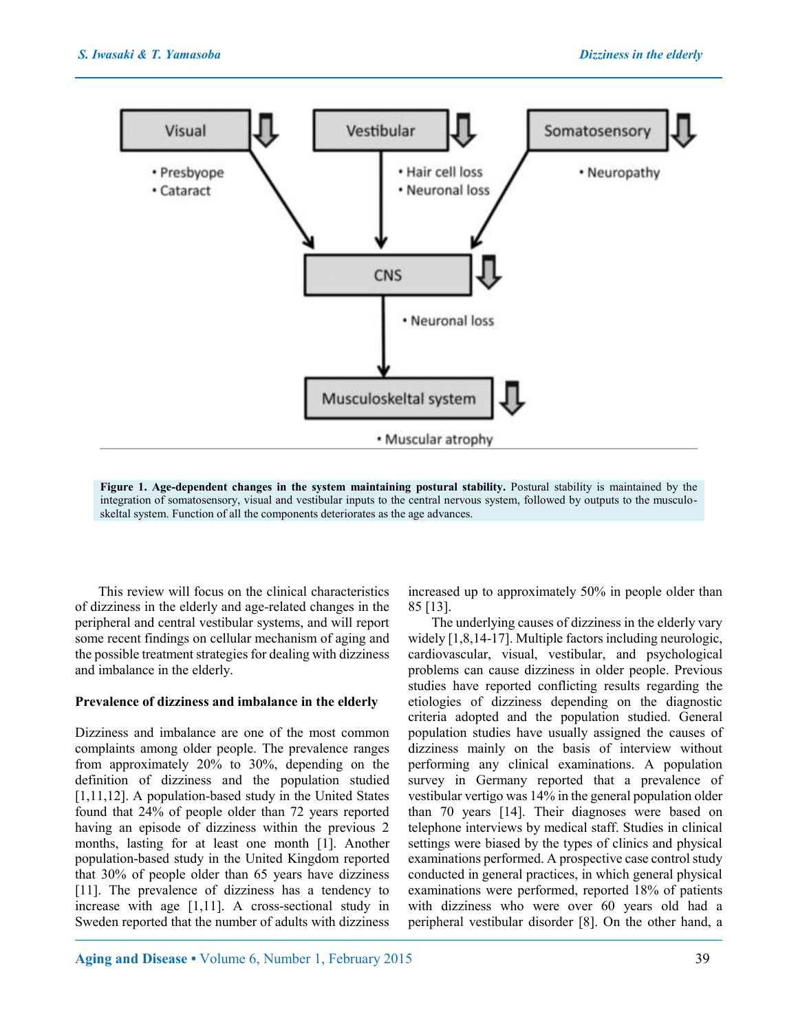

**Figure 1. Age-dependent changes in the system maintaining postural stability.** Postural stability is maintained by the integration of somatosensory, visual and vestibular inputs to the central nervous system, followed by outputs to the musculoskeltal system. Function of all the components deteriorates as the age advances.

This review will focus on the clinical characteristics of dizziness in the elderly and age-related changes in the peripheral and central vestibular systems, and will report some recent findings on cellular mechanism of aging and the possible treatment strategies for dealing with dizziness and imbalance in the elderly.

## **Prevalence of dizziness and imbalance in the elderly**

Dizziness and imbalance are one of the most common complaints among older people. The prevalence ranges from approximately 20% to 30%, depending on the definition of dizziness and the population studied [\[1,](#page-5-0)[11,](#page-6-5)[12\]](#page-6-6). A population-based study in the United States found that 24% of people older than 72 years reported having an episode of dizziness within the previous 2 months, lasting for at least one month [\[1\]](#page-5-0). Another population-based study in the United Kingdom reported that 30% of people older than 65 years have dizziness [\[11\]](#page-6-5). The prevalence of dizziness has a tendency to increase with age [\[1,](#page-5-0)[11\]](#page-6-5). A cross-sectional study in Sweden reported that the number of adults with dizziness increased up to approximately 50% in people older than 85 [\[13\]](#page-6-7).

The underlying causes of dizziness in the elderly vary widely [\[1,](#page-5-0)[8,](#page-6-2)[14-17\]](#page-6-8). Multiple factors including neurologic, cardiovascular, visual, vestibular, and psychological problems can cause dizziness in older people. Previous studies have reported conflicting results regarding the etiologies of dizziness depending on the diagnostic criteria adopted and the population studied. General population studies have usually assigned the causes of dizziness mainly on the basis of interview without performing any clinical examinations. A population survey in Germany reported that a prevalence of vestibular vertigo was 14% in the general population older than 70 years [\[14\]](#page-6-8). Their diagnoses were based on telephone interviews by medical staff. Studies in clinical settings were biased by the types of clinics and physical examinations performed. A prospective case control study conducted in general practices, in which general physical examinations were performed, reported 18% of patients with dizziness who were over 60 years old had a peripheral vestibular disorder [\[8\]](#page-6-2). On the other hand, a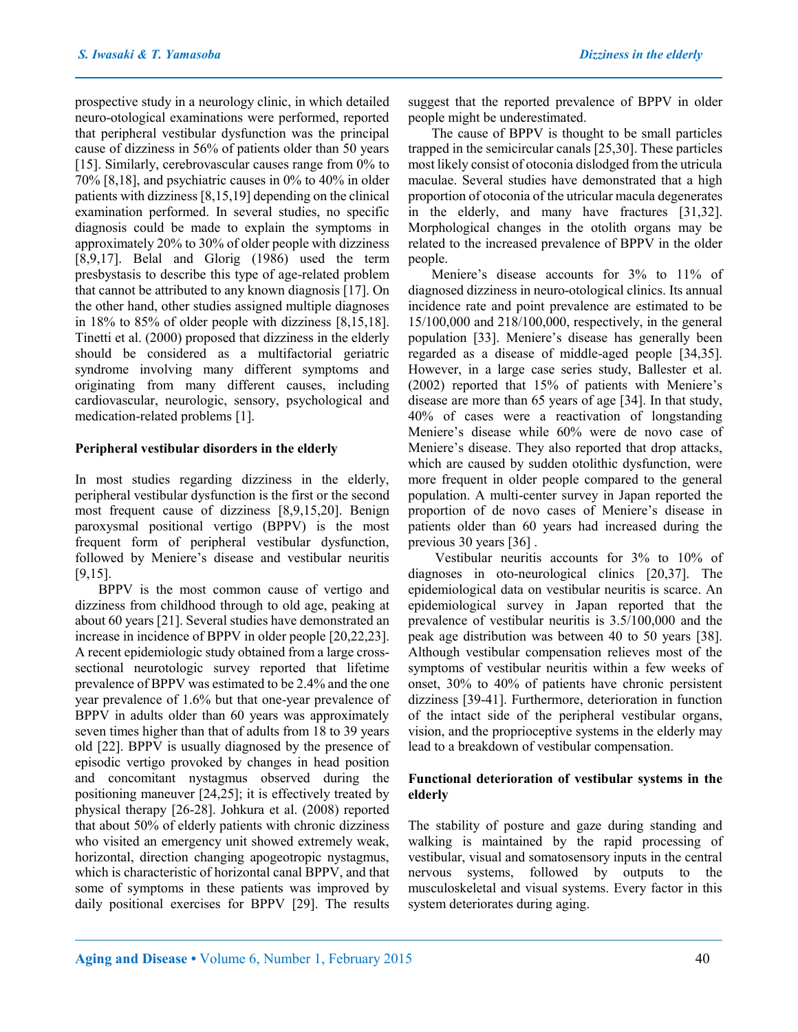prospective study in a neurology clinic, in which detailed neuro-otological examinations were performed, reported that peripheral vestibular dysfunction was the principal cause of dizziness in 56% of patients older than 50 years [\[15\]](#page-6-9). Similarly, cerebrovascular causes range from 0% to 70% [\[8](#page-6-2)[,18\]](#page-6-10), and psychiatric causes in 0% to 40% in older patients with dizziness [\[8,](#page-6-2)[15](#page-6-9)[,19\]](#page-6-11) depending on the clinical examination performed. In several studies, no specific diagnosis could be made to explain the symptoms in approximately 20% to 30% of older people with dizziness [\[8,](#page-6-2)[9](#page-6-3)[,17\]](#page-6-12). Belal and Glorig (1986) used the term presbystasis to describe this type of age-related problem that cannot be attributed to any known diagnosis [\[17\]](#page-6-12). On the other hand, other studies assigned multiple diagnoses in 18% to 85% of older people with dizziness [\[8,](#page-6-2)[15,](#page-6-9)[18\]](#page-6-10). Tinetti et al. (2000) proposed that dizziness in the elderly should be considered as a multifactorial geriatric syndrome involving many different symptoms and originating from many different causes, including cardiovascular, neurologic, sensory, psychological and medication-related problems [\[1\]](#page-5-0).

# **Peripheral vestibular disorders in the elderly**

In most studies regarding dizziness in the elderly, peripheral vestibular dysfunction is the first or the second most frequent cause of dizziness [\[8](#page-6-2)[,9](#page-6-3)[,15](#page-6-9)[,20\]](#page-6-13). Benign paroxysmal positional vertigo (BPPV) is the most frequent form of peripheral vestibular dysfunction, followed by Meniere's disease and vestibular neuritis [\[9,](#page-6-3)[15\]](#page-6-9).

BPPV is the most common cause of vertigo and dizziness from childhood through to old age, peaking at about 60 years [\[21\]](#page-6-14). Several studies have demonstrated an increase in incidence of BPPV in older people [\[20,](#page-6-13)[22](#page-6-15)[,23\]](#page-6-16). A recent epidemiologic study obtained from a large crosssectional neurotologic survey reported that lifetime prevalence of BPPV was estimated to be 2.4% and the one year prevalence of 1.6% but that one-year prevalence of BPPV in adults older than 60 years was approximately seven times higher than that of adults from 18 to 39 years old [\[22\]](#page-6-15). BPPV is usually diagnosed by the presence of episodic vertigo provoked by changes in head position and concomitant nystagmus observed during the positioning maneuver [\[24](#page-6-17)[,25\]](#page-6-18); it is effectively treated by physical therapy [\[26-28\]](#page-6-19). Johkura et al. (2008) reported that about 50% of elderly patients with chronic dizziness who visited an emergency unit showed extremely weak, horizontal, direction changing apogeotropic nystagmus, which is characteristic of horizontal canal BPPV, and that some of symptoms in these patients was improved by daily positional exercises for BPPV [\[29\]](#page-6-20). The results

suggest that the reported prevalence of BPPV in older people might be underestimated.

The cause of BPPV is thought to be small particles trapped in the semicircular canals [\[25](#page-6-18)[,30\]](#page-7-0). These particles most likely consist of otoconia dislodged from the utricula maculae. Several studies have demonstrated that a high proportion of otoconia of the utricular macula degenerates in the elderly, and many have fractures [\[31](#page-7-1)[,32\]](#page-7-2). Morphological changes in the otolith organs may be related to the increased prevalence of BPPV in the older people.

Meniere's disease accounts for 3% to 11% of diagnosed dizziness in neuro-otological clinics. Its annual incidence rate and point prevalence are estimated to be 15/100,000 and 218/100,000, respectively, in the general population [\[33\]](#page-7-3). Meniere's disease has generally been regarded as a disease of middle-aged people [\[34](#page-7-4)[,35\]](#page-7-5). However, in a large case series study, Ballester et al. (2002) reported that 15% of patients with Meniere's disease are more than 65 years of age [\[34\]](#page-7-4). In that study, 40% of cases were a reactivation of longstanding Meniere's disease while 60% were de novo case of Meniere's disease. They also reported that drop attacks, which are caused by sudden otolithic dysfunction, were more frequent in older people compared to the general population. A multi-center survey in Japan reported the proportion of de novo cases of Meniere's disease in patients older than 60 years had increased during the previous 30 years [\[36\]](#page-7-6) .

Vestibular neuritis accounts for 3% to 10% of diagnoses in oto-neurological clinics [\[20](#page-6-13)[,37\]](#page-7-7). The epidemiological data on vestibular neuritis is scarce. An epidemiological survey in Japan reported that the prevalence of vestibular neuritis is 3.5/100,000 and the peak age distribution was between 40 to 50 years [\[38\]](#page-7-8). Although vestibular compensation relieves most of the symptoms of vestibular neuritis within a few weeks of onset, 30% to 40% of patients have chronic persistent dizziness [\[39-41\]](#page-7-9). Furthermore, deterioration in function of the intact side of the peripheral vestibular organs, vision, and the proprioceptive systems in the elderly may lead to a breakdown of vestibular compensation.

# **Functional deterioration of vestibular systems in the elderly**

The stability of posture and gaze during standing and walking is maintained by the rapid processing of vestibular, visual and somatosensory inputs in the central nervous systems, followed by outputs to the musculoskeletal and visual systems. Every factor in this system deteriorates during aging.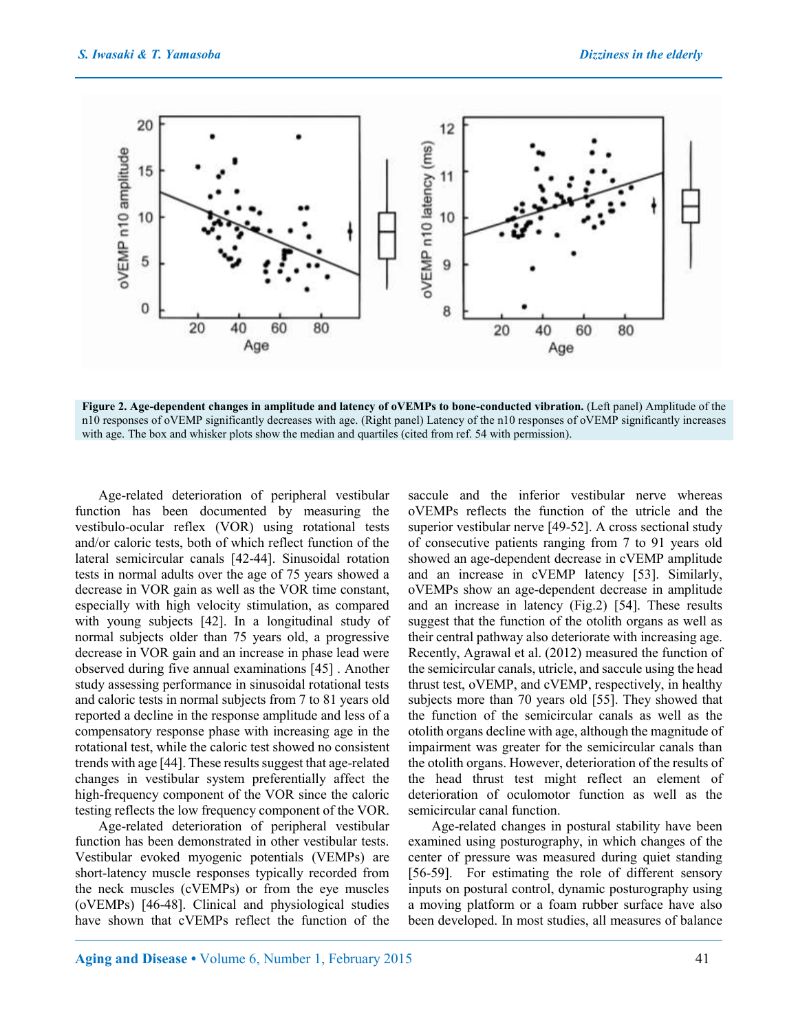

Figure 2. Age-dependent changes in amplitude and latency of oVEMPs to bone-conducted vibration. (Left panel) Amplitude of the n10 responses of oVEMP significantly decreases with age. (Right panel) Latency of the n10 responses of oVEMP significantly increases with age. The box and whisker plots show the median and quartiles (cited from ref. 54 with permission).

Age-related deterioration of peripheral vestibular function has been documented by measuring the vestibulo-ocular reflex (VOR) using rotational tests and/or caloric tests, both of which reflect function of the lateral semicircular canals [\[42-44\]](#page-7-10). Sinusoidal rotation tests in normal adults over the age of 75 years showed a decrease in VOR gain as well as the VOR time constant, especially with high velocity stimulation, as compared with young subjects [\[42\]](#page-7-10). In a longitudinal study of normal subjects older than 75 years old, a progressive decrease in VOR gain and an increase in phase lead were observed during five annual examinations [\[45\]](#page-7-11) . Another study assessing performance in sinusoidal rotational tests and caloric tests in normal subjects from 7 to 81 years old reported a decline in the response amplitude and less of a compensatory response phase with increasing age in the rotational test, while the caloric test showed no consistent trends with age [\[44\]](#page-7-12). These results suggest that age-related changes in vestibular system preferentially affect the high-frequency component of the VOR since the caloric testing reflects the low frequency component of the VOR.

Age-related deterioration of peripheral vestibular function has been demonstrated in other vestibular tests. Vestibular evoked myogenic potentials (VEMPs) are short-latency muscle responses typically recorded from the neck muscles (cVEMPs) or from the eye muscles (oVEMPs) [\[46-48\]](#page-7-13). Clinical and physiological studies have shown that cVEMPs reflect the function of the saccule and the inferior vestibular nerve whereas oVEMPs reflects the function of the utricle and the superior vestibular nerve [\[49-52\]](#page-7-14). A cross sectional study of consecutive patients ranging from 7 to 91 years old showed an age-dependent decrease in cVEMP amplitude and an increase in cVEMP latency [\[53\]](#page-7-15). Similarly, oVEMPs show an age-dependent decrease in amplitude and an increase in latency (Fig.2) [\[54\]](#page-8-0). These results suggest that the function of the otolith organs as well as their central pathway also deteriorate with increasing age. Recently, Agrawal et al. (2012) measured the function of the semicircular canals, utricle, and saccule using the head thrust test, oVEMP, and cVEMP, respectively, in healthy subjects more than 70 years old [\[55\]](#page-8-1). They showed that the function of the semicircular canals as well as the otolith organs decline with age, although the magnitude of impairment was greater for the semicircular canals than the otolith organs. However, deterioration of the results of the head thrust test might reflect an element of deterioration of oculomotor function as well as the semicircular canal function.

Age-related changes in postural stability have been examined using posturography, in which changes of the center of pressure was measured during quiet standing [\[56-59\]](#page-8-2). For estimating the role of different sensory inputs on postural control, dynamic posturography using a moving platform or a foam rubber surface have also been developed. In most studies, all measures of balance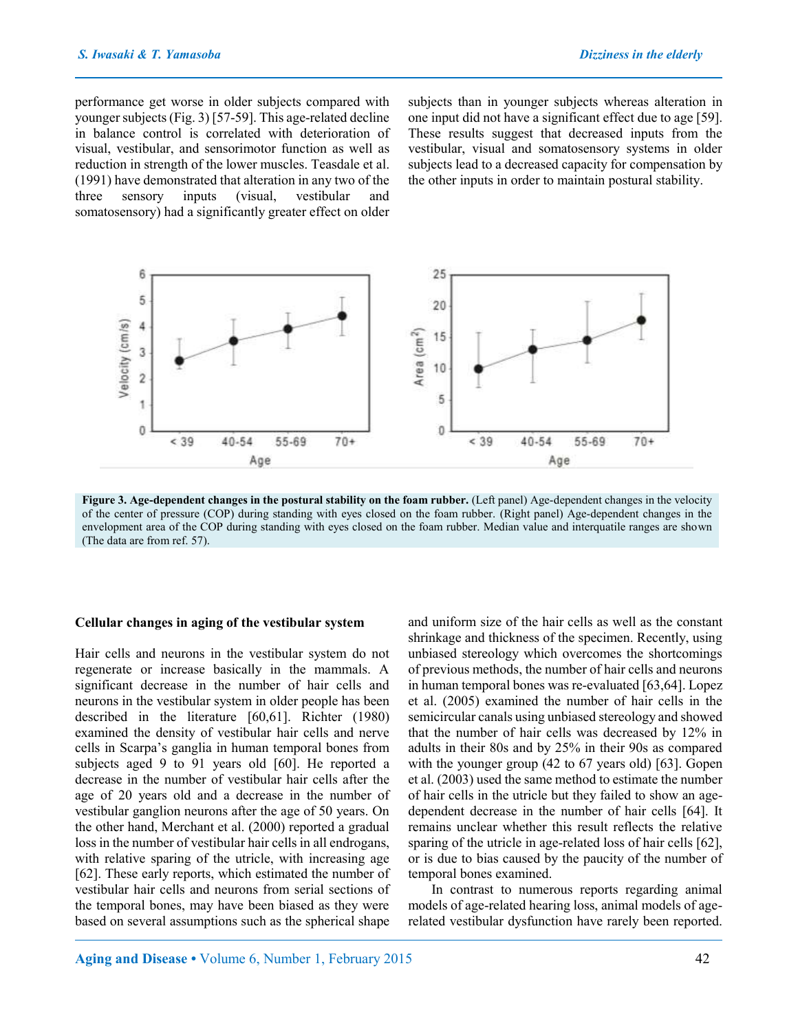performance get worse in older subjects compared with younger subjects (Fig. 3) [\[57-59\]](#page-8-3). This age-related decline in balance control is correlated with deterioration of visual, vestibular, and sensorimotor function as well as reduction in strength of the lower muscles. Teasdale et al. (1991) have demonstrated that alteration in any two of the three sensory inputs (visual, vestibular and somatosensory) had a significantly greater effect on older subjects than in younger subjects whereas alteration in one input did not have a significant effect due to age [\[59\]](#page-8-4). These results suggest that decreased inputs from the vestibular, visual and somatosensory systems in older subjects lead to a decreased capacity for compensation by the other inputs in order to maintain postural stability.



**Figure 3. Age-dependent changes in the postural stability on the foam rubber.** (Left panel) Age-dependent changes in the velocity of the center of pressure (COP) during standing with eyes closed on the foam rubber. (Right panel) Age-dependent changes in the envelopment area of the COP during standing with eyes closed on the foam rubber. Median value and interquatile ranges are shown (The data are from ref. 57).

#### **Cellular changes in aging of the vestibular system**

Hair cells and neurons in the vestibular system do not regenerate or increase basically in the mammals. A significant decrease in the number of hair cells and neurons in the vestibular system in older people has been described in the literature [\[60](#page-8-5)[,61\]](#page-8-6). Richter (1980) examined the density of vestibular hair cells and nerve cells in Scarpa's ganglia in human temporal bones from subjects aged 9 to 91 years old [\[60\]](#page-8-5). He reported a decrease in the number of vestibular hair cells after the age of 20 years old and a decrease in the number of vestibular ganglion neurons after the age of 50 years. On the other hand, Merchant et al. (2000) reported a gradual loss in the number of vestibular hair cells in all endrogans, with relative sparing of the utricle, with increasing age [\[62\]](#page-8-7). These early reports, which estimated the number of vestibular hair cells and neurons from serial sections of the temporal bones, may have been biased as they were based on several assumptions such as the spherical shape

and uniform size of the hair cells as well as the constant shrinkage and thickness of the specimen. Recently, using unbiased stereology which overcomes the shortcomings of previous methods, the number of hair cells and neurons in human temporal bones was re-evaluated [\[63](#page-8-8)[,64\]](#page-8-9). Lopez et al. (2005) examined the number of hair cells in the semicircular canals using unbiased stereology and showed that the number of hair cells was decreased by 12% in adults in their 80s and by 25% in their 90s as compared with the younger group (42 to 67 years old) [\[63\]](#page-8-8). Gopen et al. (2003) used the same method to estimate the number of hair cells in the utricle but they failed to show an agedependent decrease in the number of hair cells [\[64\]](#page-8-9). It remains unclear whether this result reflects the relative sparing of the utricle in age-related loss of hair cells [\[62\]](#page-8-7), or is due to bias caused by the paucity of the number of temporal bones examined.

In contrast to numerous reports regarding animal models of age-related hearing loss, animal models of agerelated vestibular dysfunction have rarely been reported.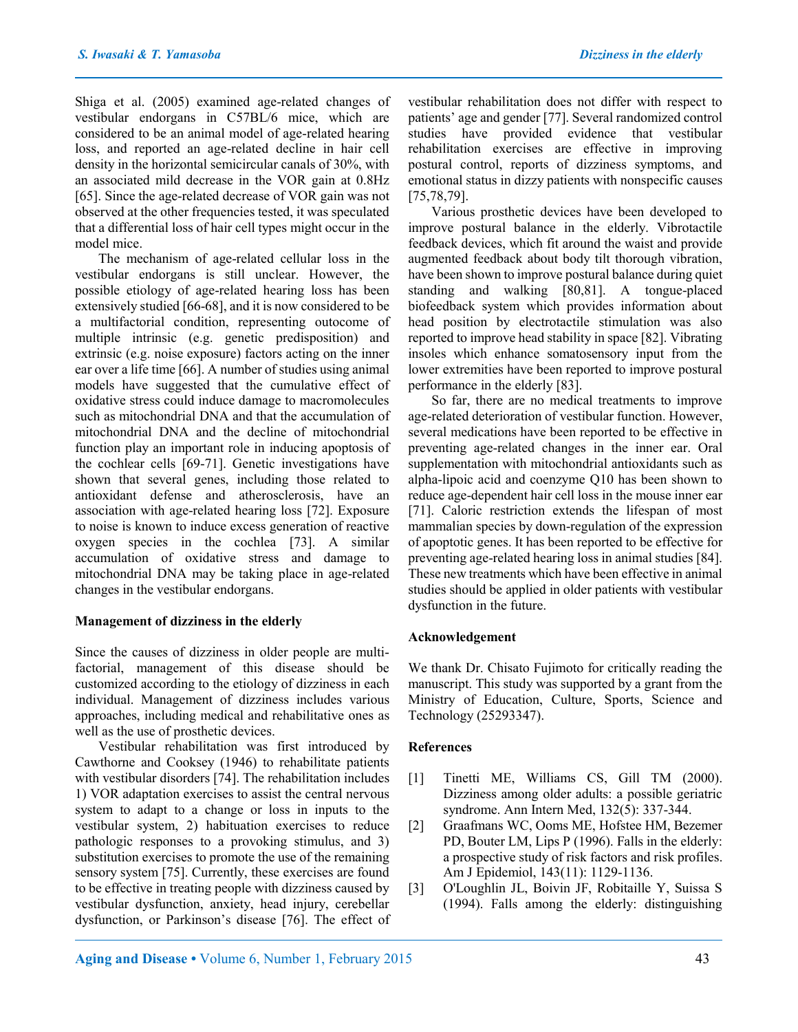Shiga et al. (2005) examined age-related changes of vestibular endorgans in C57BL/6 mice, which are considered to be an animal model of age-related hearing loss, and reported an age-related decline in hair cell density in the horizontal semicircular canals of 30%, with an associated mild decrease in the VOR gain at 0.8Hz [\[65\]](#page-8-10). Since the age-related decrease of VOR gain was not observed at the other frequencies tested, it was speculated that a differential loss of hair cell types might occur in the model mice.

The mechanism of age-related cellular loss in the vestibular endorgans is still unclear. However, the possible etiology of age-related hearing loss has been extensively studied [\[66-68\]](#page-8-11), and it is now considered to be a multifactorial condition, representing outocome of multiple intrinsic (e.g. genetic predisposition) and extrinsic (e.g. noise exposure) factors acting on the inner ear over a life time [\[66\]](#page-8-11). A number of studies using animal models have suggested that the cumulative effect of oxidative stress could induce damage to macromolecules such as mitochondrial DNA and that the accumulation of mitochondrial DNA and the decline of mitochondrial function play an important role in inducing apoptosis of the cochlear cells [\[69-71\]](#page-8-12). Genetic investigations have shown that several genes, including those related to antioxidant defense and atherosclerosis, have an association with age-related hearing loss [\[72\]](#page-8-13). Exposure to noise is known to induce excess generation of reactive oxygen species in the cochlea [\[73\]](#page-8-14). A similar accumulation of oxidative stress and damage to mitochondrial DNA may be taking place in age-related changes in the vestibular endorgans.

## **Management of dizziness in the elderly**

Since the causes of dizziness in older people are multifactorial, management of this disease should be customized according to the etiology of dizziness in each individual. Management of dizziness includes various approaches, including medical and rehabilitative ones as well as the use of prosthetic devices.

Vestibular rehabilitation was first introduced by Cawthorne and Cooksey (1946) to rehabilitate patients with vestibular disorders [\[74\]](#page-8-15). The rehabilitation includes 1) VOR adaptation exercises to assist the central nervous system to adapt to a change or loss in inputs to the vestibular system, 2) habituation exercises to reduce pathologic responses to a provoking stimulus, and 3) substitution exercises to promote the use of the remaining sensory system [\[75\]](#page-8-16). Currently, these exercises are found to be effective in treating people with dizziness caused by vestibular dysfunction, anxiety, head injury, cerebellar dysfunction, or Parkinson's disease [\[76\]](#page-8-17). The effect of

vestibular rehabilitation does not differ with respect to patients' age and gender [\[77\]](#page-8-18). Several randomized control studies have provided evidence that vestibular rehabilitation exercises are effective in improving postural control, reports of dizziness symptoms, and emotional status in dizzy patients with nonspecific causes [\[75](#page-8-16)[,78,](#page-8-19)[79\]](#page-9-0).

Various prosthetic devices have been developed to improve postural balance in the elderly. Vibrotactile feedback devices, which fit around the waist and provide augmented feedback about body tilt thorough vibration, have been shown to improve postural balance during quiet standing and walking [\[80](#page-9-1)[,81\]](#page-9-2). A tongue-placed biofeedback system which provides information about head position by electrotactile stimulation was also reported to improve head stability in space [\[82\]](#page-9-3). Vibrating insoles which enhance somatosensory input from the lower extremities have been reported to improve postural performance in the elderly [\[83\]](#page-9-4).

So far, there are no medical treatments to improve age-related deterioration of vestibular function. However, several medications have been reported to be effective in preventing age-related changes in the inner ear. Oral supplementation with mitochondrial antioxidants such as alpha-lipoic acid and coenzyme Q10 has been shown to reduce age-dependent hair cell loss in the mouse inner ear [\[71\]](#page-8-20). Caloric restriction extends the lifespan of most mammalian species by down-regulation of the expression of apoptotic genes. It has been reported to be effective for preventing age-related hearing loss in animal studies [\[84\]](#page-9-5). These new treatments which have been effective in animal studies should be applied in older patients with vestibular dysfunction in the future.

## **Acknowledgement**

We thank Dr. Chisato Fujimoto for critically reading the manuscript. This study was supported by a grant from the Ministry of Education, Culture, Sports, Science and Technology (25293347).

## **References**

- <span id="page-5-0"></span>[1] Tinetti ME, Williams CS, Gill TM (2000). Dizziness among older adults: a possible geriatric syndrome. Ann Intern Med, 132(5): 337-344.
- <span id="page-5-1"></span>[2] Graafmans WC, Ooms ME, Hofstee HM, Bezemer PD, Bouter LM, Lips P (1996). Falls in the elderly: a prospective study of risk factors and risk profiles. Am J Epidemiol, 143(11): 1129-1136.
- <span id="page-5-2"></span>[3] O'Loughlin JL, Boivin JF, Robitaille Y, Suissa S (1994). Falls among the elderly: distinguishing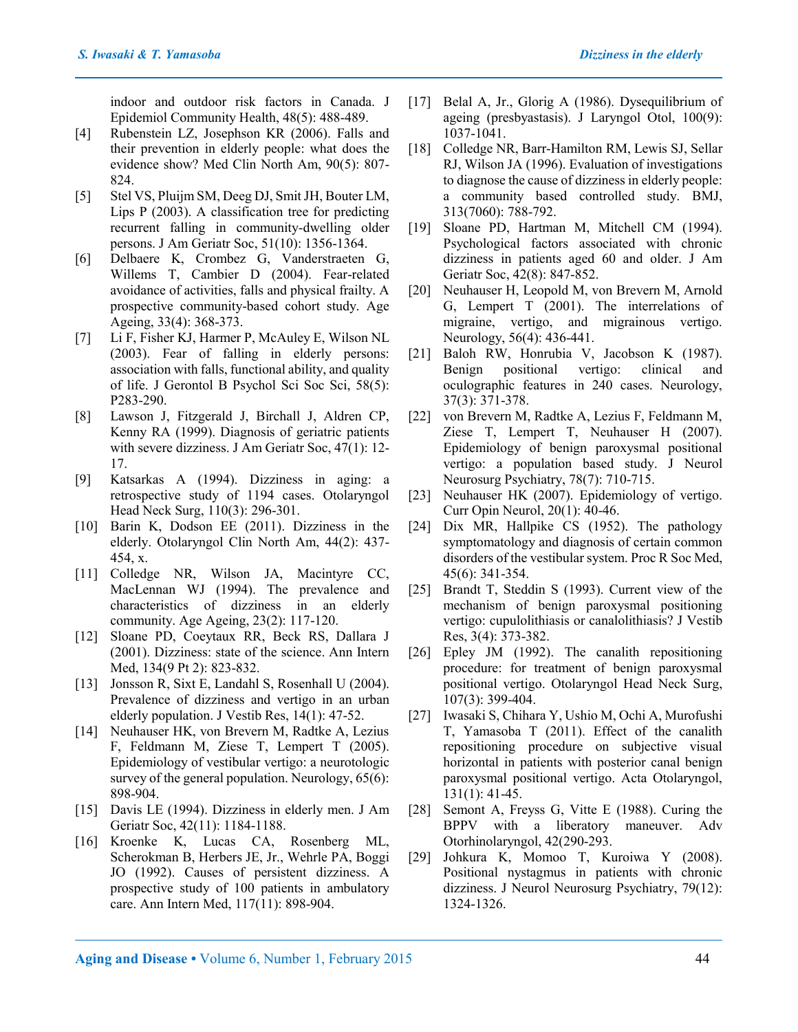indoor and outdoor risk factors in Canada. J Epidemiol Community Health, 48(5): 488-489.

- [4] Rubenstein LZ, Josephson KR (2006). Falls and their prevention in elderly people: what does the evidence show? Med Clin North Am, 90(5): 807- 824.
- [5] Stel VS, Pluijm SM, Deeg DJ, Smit JH, Bouter LM, Lips P (2003). A classification tree for predicting recurrent falling in community-dwelling older persons. J Am Geriatr Soc, 51(10): 1356-1364.
- <span id="page-6-0"></span>[6] Delbaere K, Crombez G, Vanderstraeten G, Willems T, Cambier D (2004). Fear-related avoidance of activities, falls and physical frailty. A prospective community-based cohort study. Age Ageing, 33(4): 368-373.
- <span id="page-6-1"></span>[7] Li F, Fisher KJ, Harmer P, McAuley E, Wilson NL (2003). Fear of falling in elderly persons: association with falls, functional ability, and quality of life. J Gerontol B Psychol Sci Soc Sci, 58(5): P283-290.
- <span id="page-6-2"></span>[8] Lawson J, Fitzgerald J, Birchall J, Aldren CP, Kenny RA (1999). Diagnosis of geriatric patients with severe dizziness. J Am Geriatr Soc, 47(1): 12- 17.
- <span id="page-6-3"></span>[9] Katsarkas A (1994). Dizziness in aging: a retrospective study of 1194 cases. Otolaryngol Head Neck Surg, 110(3): 296-301.
- <span id="page-6-4"></span>[10] Barin K, Dodson EE (2011). Dizziness in the elderly. Otolaryngol Clin North Am, 44(2): 437- 454, x.
- <span id="page-6-5"></span>[11] Colledge NR, Wilson JA, Macintyre CC, MacLennan WJ (1994). The prevalence and characteristics of dizziness in an elderly community. Age Ageing, 23(2): 117-120.
- <span id="page-6-6"></span>[12] Sloane PD, Coeytaux RR, Beck RS, Dallara J (2001). Dizziness: state of the science. Ann Intern Med, 134(9 Pt 2): 823-832.
- <span id="page-6-7"></span>[13] Jonsson R, Sixt E, Landahl S, Rosenhall U (2004). Prevalence of dizziness and vertigo in an urban elderly population. J Vestib Res, 14(1): 47-52.
- <span id="page-6-8"></span>[14] Neuhauser HK, von Brevern M, Radtke A, Lezius F, Feldmann M, Ziese T, Lempert T (2005). Epidemiology of vestibular vertigo: a neurotologic survey of the general population. Neurology,  $65(6)$ : 898-904.
- <span id="page-6-9"></span>[15] Davis LE (1994). Dizziness in elderly men. J Am Geriatr Soc, 42(11): 1184-1188.
- [16] Kroenke K, Lucas CA, Rosenberg ML, Scherokman B, Herbers JE, Jr., Wehrle PA, Boggi JO (1992). Causes of persistent dizziness. A prospective study of 100 patients in ambulatory care. Ann Intern Med, 117(11): 898-904.
- <span id="page-6-12"></span>[17] Belal A, Jr., Glorig A (1986). Dysequilibrium of ageing (presbyastasis). J Laryngol Otol, 100(9): 1037-1041.
- <span id="page-6-10"></span>[18] Colledge NR, Barr-Hamilton RM, Lewis SJ, Sellar RJ, Wilson JA (1996). Evaluation of investigations to diagnose the cause of dizziness in elderly people: a community based controlled study. BMJ, 313(7060): 788-792.
- <span id="page-6-11"></span>[19] Sloane PD, Hartman M, Mitchell CM (1994). Psychological factors associated with chronic dizziness in patients aged 60 and older. J Am Geriatr Soc, 42(8): 847-852.
- <span id="page-6-13"></span>[20] Neuhauser H, Leopold M, von Brevern M, Arnold G, Lempert T (2001). The interrelations of migraine, vertigo, and migrainous vertigo. Neurology, 56(4): 436-441.
- <span id="page-6-14"></span>[21] Baloh RW, Honrubia V, Jacobson K (1987). Benign positional vertigo: clinical and oculographic features in 240 cases. Neurology, 37(3): 371-378.
- <span id="page-6-15"></span>[22] von Brevern M, Radtke A, Lezius F, Feldmann M, Ziese T, Lempert T, Neuhauser H (2007). Epidemiology of benign paroxysmal positional vertigo: a population based study. J Neurol Neurosurg Psychiatry, 78(7): 710-715.
- <span id="page-6-16"></span>[23] Neuhauser HK (2007). Epidemiology of vertigo. Curr Opin Neurol, 20(1): 40-46.
- <span id="page-6-17"></span>[24] Dix MR, Hallpike CS (1952). The pathology symptomatology and diagnosis of certain common disorders of the vestibular system. Proc R Soc Med, 45(6): 341-354.
- <span id="page-6-18"></span>[25] Brandt T, Steddin S (1993). Current view of the mechanism of benign paroxysmal positioning vertigo: cupulolithiasis or canalolithiasis? J Vestib Res, 3(4): 373-382.
- <span id="page-6-19"></span>[26] Epley JM (1992). The canalith repositioning procedure: for treatment of benign paroxysmal positional vertigo. Otolaryngol Head Neck Surg, 107(3): 399-404.
- [27] Iwasaki S, Chihara Y, Ushio M, Ochi A, Murofushi T, Yamasoba T (2011). Effect of the canalith repositioning procedure on subjective visual horizontal in patients with posterior canal benign paroxysmal positional vertigo. Acta Otolaryngol, 131(1): 41-45.
- [28] Semont A, Freyss G, Vitte E (1988). Curing the BPPV with a liberatory maneuver. Adv Otorhinolaryngol, 42(290-293.
- <span id="page-6-20"></span>[29] Johkura K, Momoo T, Kuroiwa Y (2008). Positional nystagmus in patients with chronic dizziness. J Neurol Neurosurg Psychiatry, 79(12): 1324-1326.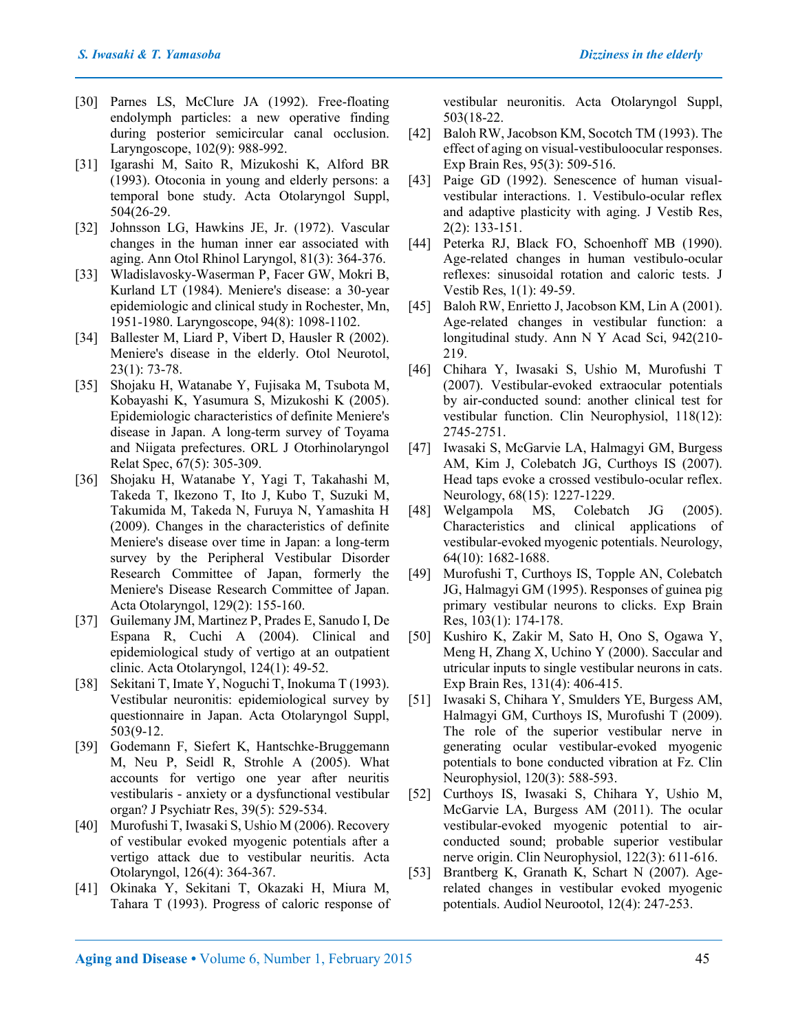- <span id="page-7-0"></span>[30] Parnes LS, McClure JA (1992). Free-floating endolymph particles: a new operative finding during posterior semicircular canal occlusion. Laryngoscope, 102(9): 988-992.
- <span id="page-7-1"></span>[31] Igarashi M, Saito R, Mizukoshi K, Alford BR (1993). Otoconia in young and elderly persons: a temporal bone study. Acta Otolaryngol Suppl, 504(26-29.
- <span id="page-7-2"></span>[32] Johnsson LG, Hawkins JE, Jr. (1972). Vascular changes in the human inner ear associated with aging. Ann Otol Rhinol Laryngol, 81(3): 364-376.
- <span id="page-7-3"></span>[33] Wladislavosky-Waserman P, Facer GW, Mokri B, Kurland LT (1984). Meniere's disease: a 30-year epidemiologic and clinical study in Rochester, Mn, 1951-1980. Laryngoscope, 94(8): 1098-1102.
- <span id="page-7-4"></span>[34] Ballester M, Liard P, Vibert D, Hausler R (2002). Meniere's disease in the elderly. Otol Neurotol, 23(1): 73-78.
- <span id="page-7-5"></span>[35] Shojaku H, Watanabe Y, Fujisaka M, Tsubota M, Kobayashi K, Yasumura S, Mizukoshi K (2005). Epidemiologic characteristics of definite Meniere's disease in Japan. A long-term survey of Toyama and Niigata prefectures. ORL J Otorhinolaryngol Relat Spec, 67(5): 305-309.
- <span id="page-7-6"></span>[36] Shojaku H, Watanabe Y, Yagi T, Takahashi M, Takeda T, Ikezono T, Ito J, Kubo T, Suzuki M, Takumida M, Takeda N, Furuya N, Yamashita H (2009). Changes in the characteristics of definite Meniere's disease over time in Japan: a long-term survey by the Peripheral Vestibular Disorder Research Committee of Japan, formerly the Meniere's Disease Research Committee of Japan. Acta Otolaryngol, 129(2): 155-160.
- <span id="page-7-7"></span>[37] Guilemany JM, Martinez P, Prades E, Sanudo I, De Espana R, Cuchi A (2004). Clinical and epidemiological study of vertigo at an outpatient clinic. Acta Otolaryngol, 124(1): 49-52.
- <span id="page-7-8"></span>[38] Sekitani T, Imate Y, Noguchi T, Inokuma T (1993). Vestibular neuronitis: epidemiological survey by questionnaire in Japan. Acta Otolaryngol Suppl, 503(9-12.
- <span id="page-7-9"></span>[39] Godemann F, Siefert K, Hantschke-Bruggemann M, Neu P, Seidl R, Strohle A (2005). What accounts for vertigo one year after neuritis vestibularis - anxiety or a dysfunctional vestibular organ? J Psychiatr Res, 39(5): 529-534.
- [40] Murofushi T, Iwasaki S, Ushio M (2006). Recovery of vestibular evoked myogenic potentials after a vertigo attack due to vestibular neuritis. Acta Otolaryngol, 126(4): 364-367.
- [41] Okinaka Y, Sekitani T, Okazaki H, Miura M, Tahara T (1993). Progress of caloric response of

vestibular neuronitis. Acta Otolaryngol Suppl, 503(18-22.

- <span id="page-7-10"></span>[42] Baloh RW, Jacobson KM, Socotch TM (1993). The effect of aging on visual-vestibuloocular responses. Exp Brain Res, 95(3): 509-516.
- [43] Paige GD (1992). Senescence of human visualvestibular interactions. 1. Vestibulo-ocular reflex and adaptive plasticity with aging. J Vestib Res, 2(2): 133-151.
- <span id="page-7-12"></span>[44] Peterka RJ, Black FO, Schoenhoff MB (1990). Age-related changes in human vestibulo-ocular reflexes: sinusoidal rotation and caloric tests. J Vestib Res, 1(1): 49-59.
- <span id="page-7-11"></span>[45] Baloh RW, Enrietto J, Jacobson KM, Lin A (2001). Age-related changes in vestibular function: a longitudinal study. Ann N Y Acad Sci, 942(210- 219.
- <span id="page-7-13"></span>[46] Chihara Y, Iwasaki S, Ushio M, Murofushi T (2007). Vestibular-evoked extraocular potentials by air-conducted sound: another clinical test for vestibular function. Clin Neurophysiol, 118(12): 2745-2751.
- [47] Iwasaki S, McGarvie LA, Halmagyi GM, Burgess AM, Kim J, Colebatch JG, Curthoys IS (2007). Head taps evoke a crossed vestibulo-ocular reflex. Neurology, 68(15): 1227-1229.
- [48] Welgampola MS, Colebatch JG (2005). Characteristics and clinical applications of vestibular-evoked myogenic potentials. Neurology, 64(10): 1682-1688.
- <span id="page-7-14"></span>[49] Murofushi T, Curthoys IS, Topple AN, Colebatch JG, Halmagyi GM (1995). Responses of guinea pig primary vestibular neurons to clicks. Exp Brain Res, 103(1): 174-178.
- [50] Kushiro K, Zakir M, Sato H, Ono S, Ogawa Y, Meng H, Zhang X, Uchino Y (2000). Saccular and utricular inputs to single vestibular neurons in cats. Exp Brain Res, 131(4): 406-415.
- [51] Iwasaki S, Chihara Y, Smulders YE, Burgess AM, Halmagyi GM, Curthoys IS, Murofushi T (2009). The role of the superior vestibular nerve in generating ocular vestibular-evoked myogenic potentials to bone conducted vibration at Fz. Clin Neurophysiol, 120(3): 588-593.
- [52] Curthoys IS, Iwasaki S, Chihara Y, Ushio M, McGarvie LA, Burgess AM (2011). The ocular vestibular-evoked myogenic potential to airconducted sound; probable superior vestibular nerve origin. Clin Neurophysiol, 122(3): 611-616.
- <span id="page-7-15"></span>[53] Brantberg K, Granath K, Schart N (2007). Agerelated changes in vestibular evoked myogenic potentials. Audiol Neurootol, 12(4): 247-253.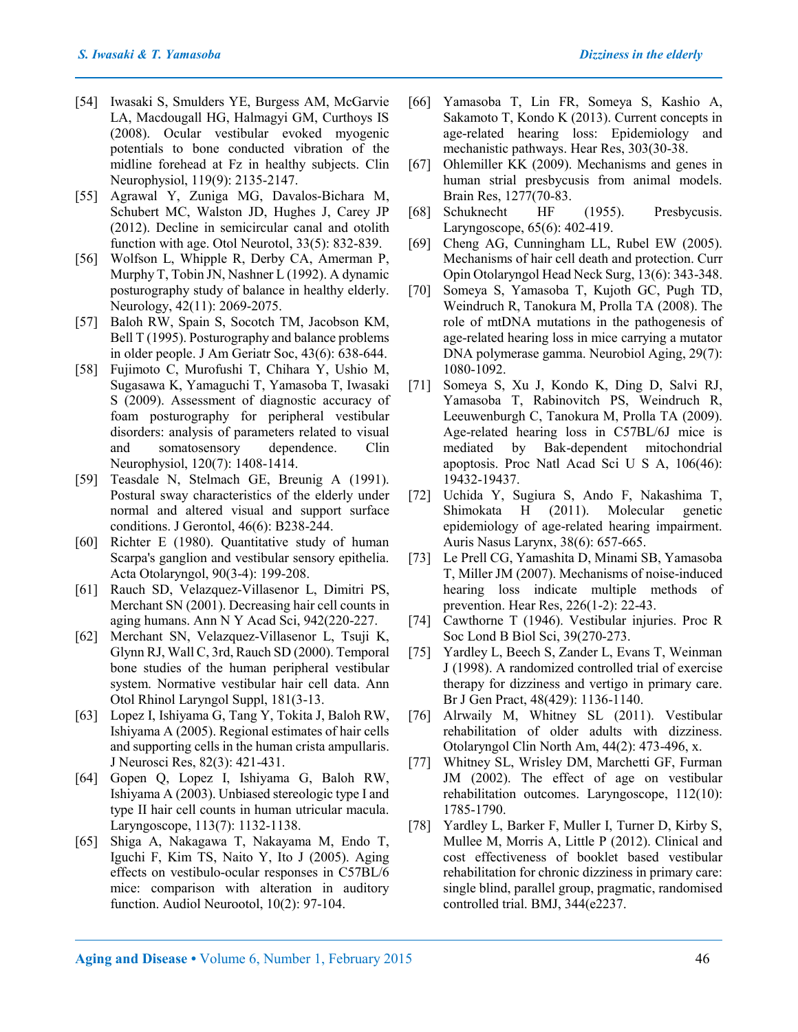- <span id="page-8-0"></span>[54] Iwasaki S, Smulders YE, Burgess AM, McGarvie LA, Macdougall HG, Halmagyi GM, Curthoys IS (2008). Ocular vestibular evoked myogenic potentials to bone conducted vibration of the midline forehead at Fz in healthy subjects. Clin Neurophysiol, 119(9): 2135-2147.
- <span id="page-8-1"></span>[55] Agrawal Y, Zuniga MG, Davalos-Bichara M, Schubert MC, Walston JD, Hughes J, Carey JP (2012). Decline in semicircular canal and otolith function with age. Otol Neurotol, 33(5): 832-839.
- <span id="page-8-2"></span>[56] Wolfson L, Whipple R, Derby CA, Amerman P, Murphy T, Tobin JN, Nashner L (1992). A dynamic posturography study of balance in healthy elderly. Neurology, 42(11): 2069-2075.
- <span id="page-8-3"></span>[57] Baloh RW, Spain S, Socotch TM, Jacobson KM, Bell T (1995). Posturography and balance problems in older people. J Am Geriatr Soc, 43(6): 638-644.
- [58] Fujimoto C, Murofushi T, Chihara Y, Ushio M, Sugasawa K, Yamaguchi T, Yamasoba T, Iwasaki S (2009). Assessment of diagnostic accuracy of foam posturography for peripheral vestibular disorders: analysis of parameters related to visual and somatosensory dependence. Clin Neurophysiol, 120(7): 1408-1414.
- <span id="page-8-4"></span>[59] Teasdale N, Stelmach GE, Breunig A (1991). Postural sway characteristics of the elderly under normal and altered visual and support surface conditions. J Gerontol, 46(6): B238-244.
- <span id="page-8-5"></span>[60] Richter E (1980). Quantitative study of human Scarpa's ganglion and vestibular sensory epithelia. Acta Otolaryngol, 90(3-4): 199-208.
- <span id="page-8-6"></span>[61] Rauch SD, Velazquez-Villasenor L, Dimitri PS, Merchant SN (2001). Decreasing hair cell counts in aging humans. Ann N Y Acad Sci, 942(220-227.
- <span id="page-8-7"></span>[62] Merchant SN, Velazquez-Villasenor L, Tsuji K, Glynn RJ, Wall C, 3rd, Rauch SD (2000). Temporal bone studies of the human peripheral vestibular system. Normative vestibular hair cell data. Ann Otol Rhinol Laryngol Suppl, 181(3-13.
- <span id="page-8-8"></span>[63] Lopez I, Ishiyama G, Tang Y, Tokita J, Baloh RW, Ishiyama A (2005). Regional estimates of hair cells and supporting cells in the human crista ampullaris. J Neurosci Res, 82(3): 421-431.
- <span id="page-8-9"></span>[64] Gopen Q, Lopez I, Ishiyama G, Baloh RW, Ishiyama A (2003). Unbiased stereologic type I and type II hair cell counts in human utricular macula. Laryngoscope, 113(7): 1132-1138.
- <span id="page-8-10"></span>[65] Shiga A, Nakagawa T, Nakayama M, Endo T, Iguchi F, Kim TS, Naito Y, Ito J (2005). Aging effects on vestibulo-ocular responses in C57BL/6 mice: comparison with alteration in auditory function. Audiol Neurootol, 10(2): 97-104.
- <span id="page-8-11"></span>[66] Yamasoba T, Lin FR, Someya S, Kashio A, Sakamoto T, Kondo K (2013). Current concepts in age-related hearing loss: Epidemiology and mechanistic pathways. Hear Res, 303(30-38.
- [67] Ohlemiller KK (2009). Mechanisms and genes in human strial presbycusis from animal models. Brain Res, 1277(70-83.
- [68] Schuknecht HF (1955). Presbycusis. Laryngoscope, 65(6): 402-419.
- <span id="page-8-12"></span>[69] Cheng AG, Cunningham LL, Rubel EW (2005). Mechanisms of hair cell death and protection. Curr Opin Otolaryngol Head Neck Surg, 13(6): 343-348.
- [70] Someya S, Yamasoba T, Kujoth GC, Pugh TD, Weindruch R, Tanokura M, Prolla TA (2008). The role of mtDNA mutations in the pathogenesis of age-related hearing loss in mice carrying a mutator DNA polymerase gamma. Neurobiol Aging, 29(7): 1080-1092.
- <span id="page-8-20"></span>[71] Someya S, Xu J, Kondo K, Ding D, Salvi RJ, Yamasoba T, Rabinovitch PS, Weindruch R, Leeuwenburgh C, Tanokura M, Prolla TA (2009). Age-related hearing loss in C57BL/6J mice is mediated by Bak-dependent mitochondrial apoptosis. Proc Natl Acad Sci U S A, 106(46): 19432-19437.
- <span id="page-8-13"></span>[72] Uchida Y, Sugiura S, Ando F, Nakashima T, Shimokata H (2011). Molecular genetic epidemiology of age-related hearing impairment. Auris Nasus Larynx, 38(6): 657-665.
- <span id="page-8-14"></span>[73] Le Prell CG, Yamashita D, Minami SB, Yamasoba T, Miller JM (2007). Mechanisms of noise-induced hearing loss indicate multiple methods of prevention. Hear Res, 226(1-2): 22-43.
- <span id="page-8-15"></span>[74] Cawthorne T (1946). Vestibular injuries. Proc R Soc Lond B Biol Sci, 39(270-273.
- <span id="page-8-16"></span>[75] Yardley L, Beech S, Zander L, Evans T, Weinman J (1998). A randomized controlled trial of exercise therapy for dizziness and vertigo in primary care. Br J Gen Pract, 48(429): 1136-1140.
- <span id="page-8-17"></span>[76] Alrwaily M, Whitney SL (2011). Vestibular rehabilitation of older adults with dizziness. Otolaryngol Clin North Am, 44(2): 473-496, x.
- <span id="page-8-18"></span>[77] Whitney SL, Wrisley DM, Marchetti GF, Furman JM (2002). The effect of age on vestibular rehabilitation outcomes. Laryngoscope, 112(10): 1785-1790.
- <span id="page-8-19"></span>[78] Yardley L, Barker F, Muller I, Turner D, Kirby S, Mullee M, Morris A, Little P (2012). Clinical and cost effectiveness of booklet based vestibular rehabilitation for chronic dizziness in primary care: single blind, parallel group, pragmatic, randomised controlled trial. BMJ, 344(e2237.